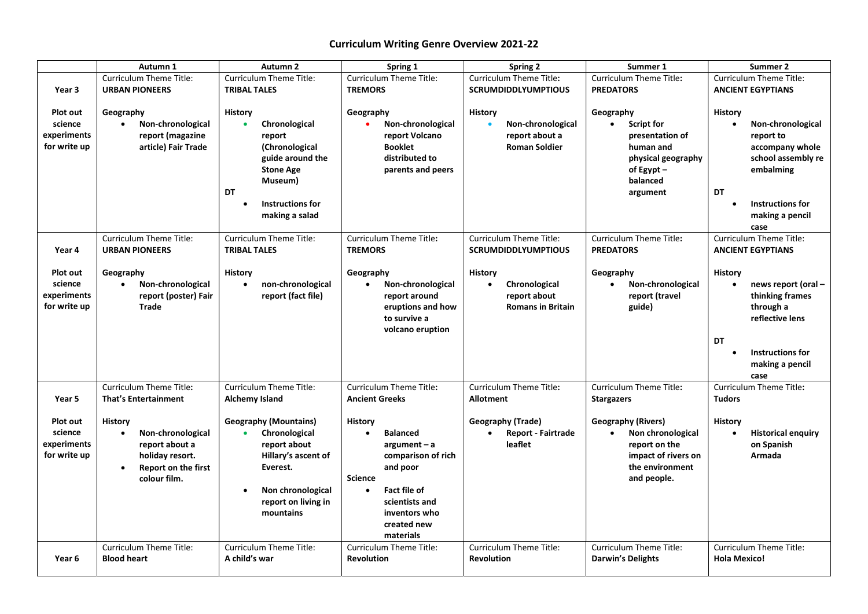## Curriculum Writing Genre Overview 2021-22

|                                                    | Autumn 1                                                                                                                                  | Autumn <sub>2</sub>                                                                                                                                                            | Spring 1                                                                                                                                                                                                  | <b>Spring 2</b>                                                                          | Summer 1                                                                                                                               | Summer 2                                                                                                                                                                 |  |
|----------------------------------------------------|-------------------------------------------------------------------------------------------------------------------------------------------|--------------------------------------------------------------------------------------------------------------------------------------------------------------------------------|-----------------------------------------------------------------------------------------------------------------------------------------------------------------------------------------------------------|------------------------------------------------------------------------------------------|----------------------------------------------------------------------------------------------------------------------------------------|--------------------------------------------------------------------------------------------------------------------------------------------------------------------------|--|
|                                                    | <b>Curriculum Theme Title:</b>                                                                                                            | <b>Curriculum Theme Title:</b>                                                                                                                                                 | <b>Curriculum Theme Title:</b>                                                                                                                                                                            | Curriculum Theme Title:                                                                  | Curriculum Theme Title:                                                                                                                | Curriculum Theme Title:                                                                                                                                                  |  |
| Year 3                                             | <b>URBAN PIONEERS</b>                                                                                                                     | <b>TRIBAL TALES</b>                                                                                                                                                            | <b>TREMORS</b>                                                                                                                                                                                            | <b>SCRUMDIDDLYUMPTIOUS</b>                                                               | <b>PREDATORS</b>                                                                                                                       | <b>ANCIENT EGYPTIANS</b>                                                                                                                                                 |  |
| Plot out<br>science<br>experiments<br>for write up | Geography<br>Non-chronological<br>$\bullet$<br>report (magazine<br>article) Fair Trade                                                    | <b>History</b><br>Chronological<br>$\bullet$<br>report<br>(Chronological<br>guide around the<br><b>Stone Age</b><br>Museum)<br>DT<br><b>Instructions for</b><br>making a salad | Geography<br>Non-chronological<br>$\bullet$<br>report Volcano<br><b>Booklet</b><br>distributed to<br>parents and peers                                                                                    | <b>History</b><br>Non-chronological<br>report about a<br><b>Roman Soldier</b>            | Geography<br><b>Script for</b><br>$\bullet$<br>presentation of<br>human and<br>physical geography<br>of Egypt-<br>balanced<br>argument | <b>History</b><br>Non-chronological<br>$\bullet$<br>report to<br>accompany whole<br>school assembly re<br>embalming<br>DT<br>Instructions for<br>making a pencil<br>case |  |
| Year 4                                             | <b>Curriculum Theme Title:</b><br><b>URBAN PIONEERS</b>                                                                                   | Curriculum Theme Title:<br><b>TRIBAL TALES</b>                                                                                                                                 | Curriculum Theme Title:<br><b>TREMORS</b>                                                                                                                                                                 | Curriculum Theme Title:<br><b>SCRUMDIDDLYUMPTIOUS</b>                                    | Curriculum Theme Title:<br><b>PREDATORS</b>                                                                                            | <b>Curriculum Theme Title:</b><br><b>ANCIENT EGYPTIANS</b>                                                                                                               |  |
| Plot out<br>science<br>experiments<br>for write up | Geography<br>Non-chronological<br>$\bullet$<br>report (poster) Fair<br><b>Trade</b>                                                       | <b>History</b><br>non-chronological<br>$\bullet$<br>report (fact file)                                                                                                         | Geography<br>Non-chronological<br>$\bullet$<br>report around<br>eruptions and how<br>to survive a<br>volcano eruption                                                                                     | <b>History</b><br>Chronological<br>$\bullet$<br>report about<br><b>Romans in Britain</b> | Geography<br>Non-chronological<br>$\bullet$<br>report (travel<br>guide)                                                                | History<br>news report (oral -<br>$\bullet$<br>thinking frames<br>through a<br>reflective lens<br>DT<br><b>Instructions for</b><br>making a pencil<br>case               |  |
| Year 5                                             | Curriculum Theme Title:<br><b>That's Entertainment</b>                                                                                    | <b>Curriculum Theme Title:</b><br><b>Alchemy Island</b>                                                                                                                        | <b>Curriculum Theme Title:</b><br><b>Ancient Greeks</b>                                                                                                                                                   | Curriculum Theme Title:<br><b>Allotment</b>                                              | <b>Curriculum Theme Title:</b><br><b>Stargazers</b>                                                                                    | <b>Curriculum Theme Title:</b><br><b>Tudors</b>                                                                                                                          |  |
| Plot out<br>science<br>experiments<br>for write up | History<br>Non-chronological<br>$\bullet$<br>report about a<br>holiday resort.<br><b>Report on the first</b><br>$\bullet$<br>colour film. | <b>Geography (Mountains)</b><br>Chronological<br>$\bullet$<br>report about<br>Hillary's ascent of<br>Everest.<br>Non chronological<br>report on living in<br>mountains         | History<br><b>Balanced</b><br>$\bullet$<br>$argument - a$<br>comparison of rich<br>and poor<br><b>Science</b><br>Fact file of<br>$\bullet$<br>scientists and<br>inventors who<br>created new<br>materials | Geography (Trade)<br><b>Report - Fairtrade</b><br>$\bullet$<br>leaflet                   | <b>Geography (Rivers)</b><br>Non chronological<br>$\bullet$<br>report on the<br>impact of rivers on<br>the environment<br>and people.  | History<br><b>Historical enquiry</b><br>on Spanish<br>Armada                                                                                                             |  |
| Year 6                                             | Curriculum Theme Title:<br><b>Blood heart</b>                                                                                             | Curriculum Theme Title:<br>A child's war                                                                                                                                       | Curriculum Theme Title:<br><b>Revolution</b>                                                                                                                                                              | Curriculum Theme Title:<br><b>Revolution</b>                                             | Curriculum Theme Title:<br>Darwin's Delights                                                                                           | Curriculum Theme Title:<br><b>Hola Mexico!</b>                                                                                                                           |  |